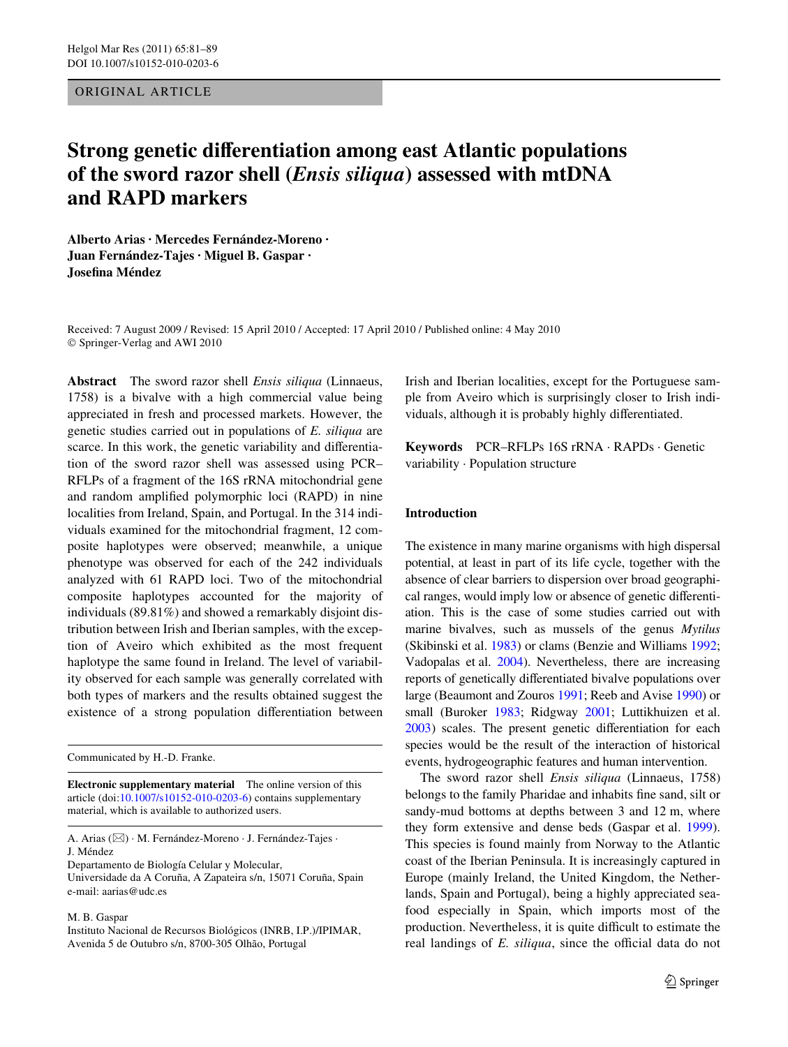ORIGINAL ARTICLE

# **Strong genetic differentiation among east Atlantic populations of the sword razor shell (***Ensis siliqua***) assessed with mtDNA and RAPD markers**

**Alberto Arias · Mercedes Fernández-Moreno · Juan Fernández-Tajes · Miguel B. Gaspar · Josefina Méndez** 

Received: 7 August 2009 / Revised: 15 April 2010 / Accepted: 17 April 2010 / Published online: 4 May 2010 © Springer-Verlag and AWI 2010

**Abstract** The sword razor shell *Ensis siliqua* (Linnaeus, 1758) is a bivalve with a high commercial value being appreciated in fresh and processed markets. However, the genetic studies carried out in populations of *E. siliqua* are scarce. In this work, the genetic variability and differentiation of the sword razor shell was assessed using PCR– RFLPs of a fragment of the 16S rRNA mitochondrial gene and random amplified polymorphic loci (RAPD) in nine localities from Ireland, Spain, and Portugal. In the 314 individuals examined for the mitochondrial fragment, 12 composite haplotypes were observed; meanwhile, a unique phenotype was observed for each of the 242 individuals analyzed with 61 RAPD loci. Two of the mitochondrial composite haplotypes accounted for the majority of individuals (89.81%) and showed a remarkably disjoint distribution between Irish and Iberian samples, with the exception of Aveiro which exhibited as the most frequent haplotype the same found in Ireland. The level of variability observed for each sample was generally correlated with both types of markers and the results obtained suggest the existence of a strong population differentiation between

Communicated by H.-D. Franke.

**Electronic supplementary material** The online version of this article (doi[:10.1007/s10152-010-0203-6](http://dx.doi.org/10.1007/s10152-010-0203-6)) contains supplementary material, which is available to authorized users.

A. Arias ( $\boxtimes$ ) · M. Fernández-Moreno · J. Fernández-Tajes · J. Méndez

Departamento de Biología Celular y Molecular,

Universidade da A Coruña, A Zapateira s/n, 15071 Coruña, Spain e-mail: aarias@udc.es

M. B. Gaspar

Instituto Nacional de Recursos Biológicos (INRB, I.P.)/IPIMAR, Avenida 5 de Outubro s/n, 8700-305 Olhão, Portugal

Irish and Iberian localities, except for the Portuguese sample from Aveiro which is surprisingly closer to Irish individuals, although it is probably highly differentiated.

**Keywords** PCR–RFLPs 16S rRNA · RAPDs · Genetic variability · Population structure

## **Introduction**

The existence in many marine organisms with high dispersal potential, at least in part of its life cycle, together with the absence of clear barriers to dispersion over broad geographical ranges, would imply low or absence of genetic differentiation. This is the case of some studies carried out with marine bivalves, such as mussels of the genus *Mytilus* (Skibinski et al. [1983\)](#page-8-0) or clams (Benzie and Williams [1992;](#page-7-0) Vadopalas et al. [2004](#page-8-1)). Nevertheless, there are increasing reports of genetically differentiated bivalve populations over large (Beaumont and Zouros [1991;](#page-7-1) Reeb and Avise [1990](#page-8-2)) or small (Buroker [1983](#page-7-2); Ridgway [2001;](#page-8-3) Luttikhuizen et al.  $2003$ ) scales. The present genetic differentiation for each species would be the result of the interaction of historical events, hydrogeographic features and human intervention.

The sword razor shell *Ensis siliqua* (Linnaeus, 1758) belongs to the family Pharidae and inhabits fine sand, silt or sandy-mud bottoms at depths between 3 and 12 m, where they form extensive and dense beds (Gaspar et al. [1999](#page-7-3)). This species is found mainly from Norway to the Atlantic coast of the Iberian Peninsula. It is increasingly captured in Europe (mainly Ireland, the United Kingdom, the Netherlands, Spain and Portugal), being a highly appreciated seafood especially in Spain, which imports most of the production. Nevertheless, it is quite difficult to estimate the real landings of *E. siliqua*, since the official data do not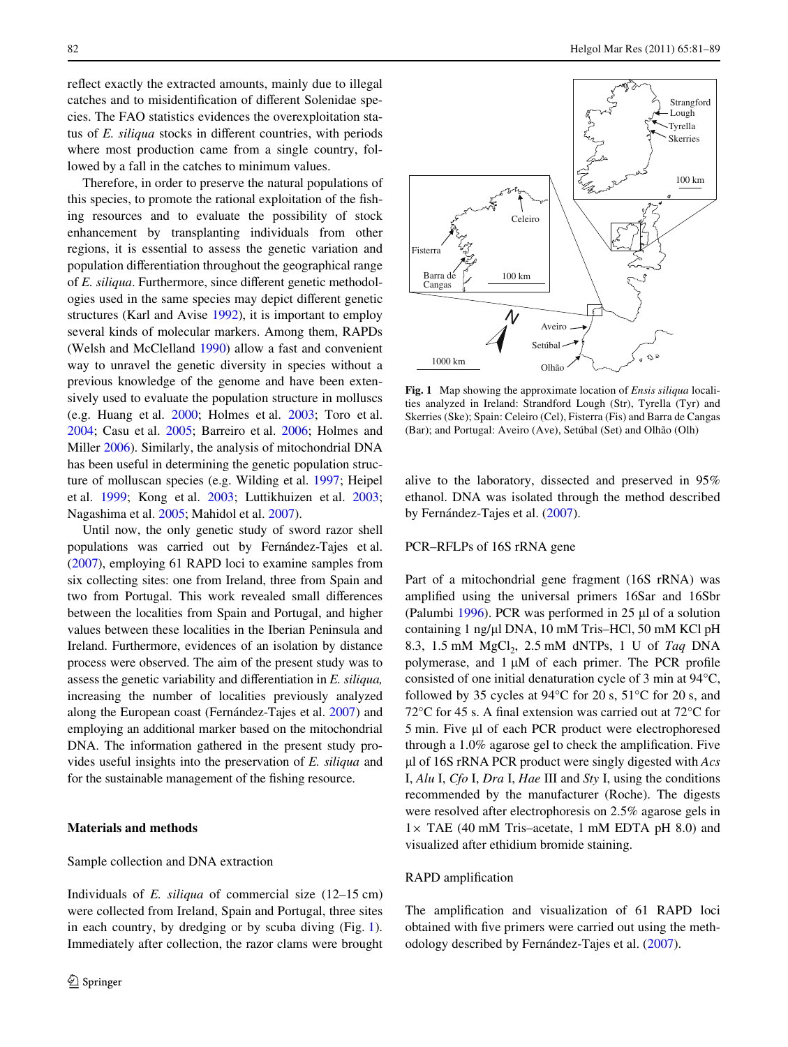reflect exactly the extracted amounts, mainly due to illegal catches and to misidentification of different Solenidae species. The FAO statistics evidences the overexploitation status of *E. siliqua* stocks in different countries, with periods where most production came from a single country, followed by a fall in the catches to minimum values.

Therefore, in order to preserve the natural populations of this species, to promote the rational exploitation of the fishing resources and to evaluate the possibility of stock enhancement by transplanting individuals from other regions, it is essential to assess the genetic variation and population differentiation throughout the geographical range of *E. siliqua*. Furthermore, since different genetic methodologies used in the same species may depict different genetic structures (Karl and Avise [1992](#page-8-5)), it is important to employ several kinds of molecular markers. Among them, RAPDs (Welsh and McClelland [1990\)](#page-8-6) allow a fast and convenient way to unravel the genetic diversity in species without a previous knowledge of the genome and have been extensively used to evaluate the population structure in molluscs (e.g. Huang et al. [2000;](#page-8-7) Holmes et al. [2003;](#page-8-8) Toro et al. [2004;](#page-8-9) Casu et al. [2005](#page-7-4); Barreiro et al. [2006;](#page-7-5) Holmes and Miller [2006](#page-8-10)). Similarly, the analysis of mitochondrial DNA has been useful in determining the genetic population structure of molluscan species (e.g. Wilding et al. [1997;](#page-8-11) Heipel et al. [1999;](#page-8-12) Kong et al. [2003;](#page-8-13) Luttikhuizen et al. [2003](#page-8-4); Nagashima et al. [2005;](#page-8-14) Mahidol et al. [2007\)](#page-8-15).

Until now, the only genetic study of sword razor shell populations was carried out by Fernández-Tajes et al. [\(2007](#page-7-6)), employing 61 RAPD loci to examine samples from six collecting sites: one from Ireland, three from Spain and two from Portugal. This work revealed small differences between the localities from Spain and Portugal, and higher values between these localities in the Iberian Peninsula and Ireland. Furthermore, evidences of an isolation by distance process were observed. The aim of the present study was to assess the genetic variability and differentiation in *E. siliqua*, increasing the number of localities previously analyzed along the European coast (Fernández-Tajes et al. [2007\)](#page-7-6) and employing an additional marker based on the mitochondrial DNA. The information gathered in the present study provides useful insights into the preservation of *E. siliqua* and for the sustainable management of the fishing resource.

## **Materials and methods**

#### Sample collection and DNA extraction

Individuals of *E. siliqua* of commercial size (12–15 cm) were collected from Ireland, Spain and Portugal, three sites in each country, by dredging or by scuba diving (Fig. [1](#page-1-0)). Immediately after collection, the razor clams were brought



<span id="page-1-0"></span>**Fig. 1** Map showing the approximate location of *Ensis siliqua* localities analyzed in Ireland: Strandford Lough (Str), Tyrella (Tyr) and Skerries (Ske); Spain: Celeiro (Cel), Fisterra (Fis) and Barra de Cangas (Bar); and Portugal: Aveiro (Ave), Setúbal (Set) and Olhão (Olh)

alive to the laboratory, dissected and preserved in 95% ethanol. DNA was isolated through the method described by Fernández-Tajes et al. [\(2007\)](#page-7-6).

### PCR–RFLPs of 16S rRNA gene

Part of a mitochondrial gene fragment (16S rRNA) was amplified using the universal primers 16Sar and 16Sbr (Palumbi [1996\)](#page-8-16). PCR was performed in  $25 \mu l$  of a solution containing 1 ng/µl DNA, 10 mM Tris–HCl, 50 mM KCl pH 8.3, 1.5 mM MgCl<sub>2</sub>, 2.5 mM dNTPs, 1 U of *Taq* DNA polymerase, and  $1 \mu M$  of each primer. The PCR profile consisted of one initial denaturation cycle of 3 min at 94°C, followed by 35 cycles at 94°C for 20 s, 51°C for 20 s, and 72 $\rm{°C}$  for 45 s. A final extension was carried out at 72 $\rm{°C}$  for 5 min. Five µl of each PCR product were electrophoresed through a  $1.0\%$  agarose gel to check the amplification. Five -l of 16S rRNA PCR product were singly digested with *Acs* I, *Alu* I, *Cfo* I, *Dra* I, *Hae* III and *Sty* I, using the conditions recommended by the manufacturer (Roche). The digests were resolved after electrophoresis on 2.5% agarose gels in  $1 \times$  TAE (40 mM Tris–acetate, 1 mM EDTA pH 8.0) and visualized after ethidium bromide staining.

#### RAPD amplification

The amplification and visualization of 61 RAPD loci obtained with five primers were carried out using the methodology described by Fernández-Tajes et al. [\(2007](#page-7-6)).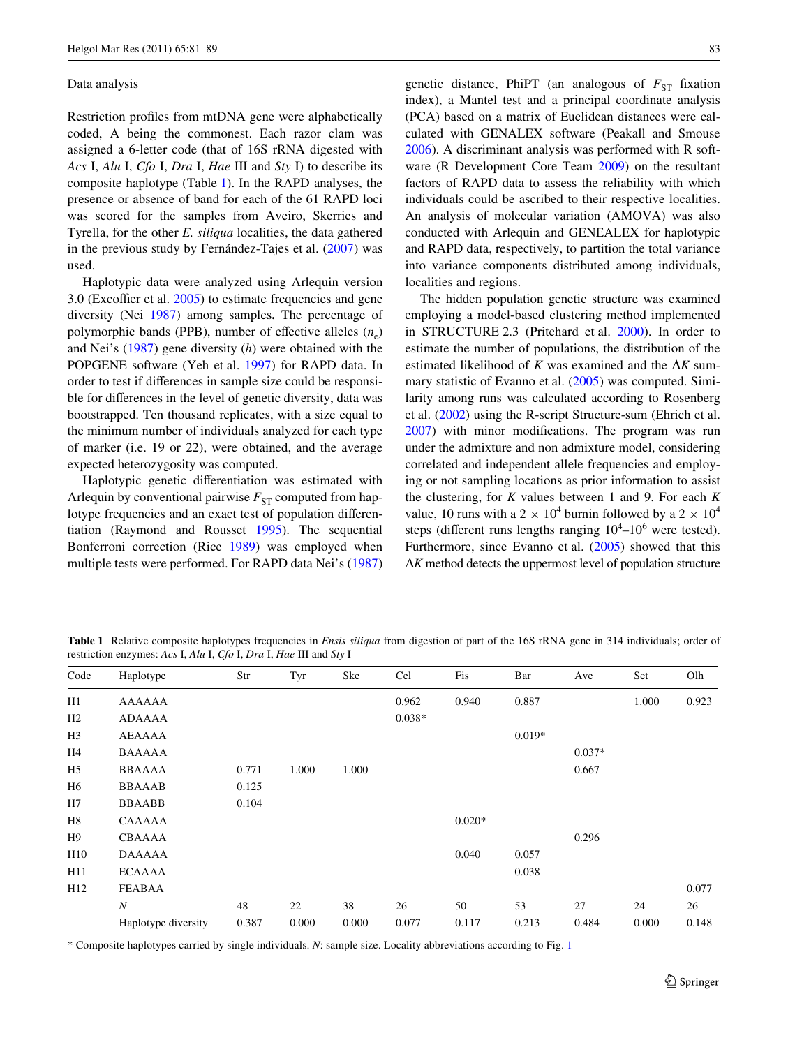#### Data analysis

Restriction profiles from mtDNA gene were alphabetically coded, A being the commonest. Each razor clam was assigned a 6-letter code (that of 16S rRNA digested with *Acs* I, *Alu* I, *Cfo* I, *Dra* I, *Hae* III and *Sty* I) to describe its composite haplotype (Table [1](#page-2-0)). In the RAPD analyses, the presence or absence of band for each of the 61 RAPD loci was scored for the samples from Aveiro, Skerries and Tyrella, for the other *E. siliqua* localities, the data gathered in the previous study by Fernández-Tajes et al. [\(2007](#page-7-6)) was used.

Haplotypic data were analyzed using Arlequin version 3.0 (Excoffier et al.  $2005$ ) to estimate frequencies and gene diversity (Nei [1987](#page-8-17)) among samples**.** The percentage of polymorphic bands (PPB), number of effective alleles  $(n_e)$ and Nei's [\(1987](#page-8-17)) gene diversity (*h*) were obtained with the POPGENE software (Yeh et al. [1997\)](#page-8-18) for RAPD data. In order to test if differences in sample size could be responsible for differences in the level of genetic diversity, data was bootstrapped. Ten thousand replicates, with a size equal to the minimum number of individuals analyzed for each type of marker (i.e. 19 or 22), were obtained, and the average expected heterozygosity was computed.

Haplotypic genetic differentiation was estimated with Arlequin by conventional pairwise  $F_{ST}$  computed from haplotype frequencies and an exact test of population differentiation (Raymond and Rousset [1995](#page-8-19)). The sequential Bonferroni correction (Rice [1989](#page-8-20)) was employed when multiple tests were performed. For RAPD data Nei's ([1987\)](#page-8-17) genetic distance, PhiPT (an analogous of  $F_{ST}$  fixation index), a Mantel test and a principal coordinate analysis (PCA) based on a matrix of Euclidean distances were calculated with GENALEX software (Peakall and Smouse [2006](#page-8-21)). A discriminant analysis was performed with R software (R Development Core Team [2009](#page-8-22)) on the resultant factors of RAPD data to assess the reliability with which individuals could be ascribed to their respective localities. An analysis of molecular variation (AMOVA) was also conducted with Arlequin and GENEALEX for haplotypic and RAPD data, respectively, to partition the total variance into variance components distributed among individuals, localities and regions.

The hidden population genetic structure was examined employing a model-based clustering method implemented in STRUCTURE 2.3 (Pritchard et al. [2000](#page-8-23)). In order to estimate the number of populations, the distribution of the estimated likelihood of *K* was examined and the  $\Delta K$  summary statistic of Evanno et al. ([2005\)](#page-7-8) was computed. Similarity among runs was calculated according to Rosenberg et al. ([2002\)](#page-8-24) using the R-script Structure-sum (Ehrich et al.  $2007$ ) with minor modifications. The program was run under the admixture and non admixture model, considering correlated and independent allele frequencies and employing or not sampling locations as prior information to assist the clustering, for *K* values between 1 and 9. For each *K* value, 10 runs with a 2  $\times$  10<sup>4</sup> burnin followed by a 2  $\times$  10<sup>4</sup> steps (different runs lengths ranging  $10^4$ – $10^6$  were tested). Furthermore, since Evanno et al. ([2005\)](#page-7-8) showed that this  $\Delta K$  method detects the uppermost level of population structure

<span id="page-2-0"></span>Table 1 Relative composite haplotypes frequencies in *Ensis siliqua* from digestion of part of the 16S rRNA gene in 314 individuals; order of restriction enzymes: *Acs* I, *Alu* I, *Cfo* I, *Dra* I, *Hae* III and *Sty* I

| Code           | Haplotype           | Str   | Tyr   | Ske   | Cel      | Fis      | Bar      | Ave      | Set   | Olh   |
|----------------|---------------------|-------|-------|-------|----------|----------|----------|----------|-------|-------|
| H1             | <b>AAAAAA</b>       |       |       |       | 0.962    | 0.940    | 0.887    |          | 1.000 | 0.923 |
| H2             | ADAAAA              |       |       |       | $0.038*$ |          |          |          |       |       |
| H <sub>3</sub> | AEAAAA              |       |       |       |          |          | $0.019*$ |          |       |       |
| H <sub>4</sub> | <b>BAAAAA</b>       |       |       |       |          |          |          | $0.037*$ |       |       |
| H <sub>5</sub> | <b>BBAAAA</b>       | 0.771 | 1.000 | 1.000 |          |          |          | 0.667    |       |       |
| H <sub>6</sub> | <b>BBAAAB</b>       | 0.125 |       |       |          |          |          |          |       |       |
| H7             | <b>BBAABB</b>       | 0.104 |       |       |          |          |          |          |       |       |
| H <sub>8</sub> | CAAAAA              |       |       |       |          | $0.020*$ |          |          |       |       |
| H <sub>9</sub> | <b>CBAAAA</b>       |       |       |       |          |          |          | 0.296    |       |       |
| H10            | <b>DAAAAA</b>       |       |       |       |          | 0.040    | 0.057    |          |       |       |
| H11            | <b>ECAAAA</b>       |       |       |       |          |          | 0.038    |          |       |       |
| H12            | <b>FEABAA</b>       |       |       |       |          |          |          |          |       | 0.077 |
|                | $\boldsymbol{N}$    | 48    | 22    | 38    | 26       | 50       | 53       | 27       | 24    | 26    |
|                | Haplotype diversity | 0.387 | 0.000 | 0.000 | 0.077    | 0.117    | 0.213    | 0.484    | 0.000 | 0.148 |

\* Composite haplotypes carried by single individuals. *N*: sample size. Locality abbreviations according to Fig. [1](#page-1-0)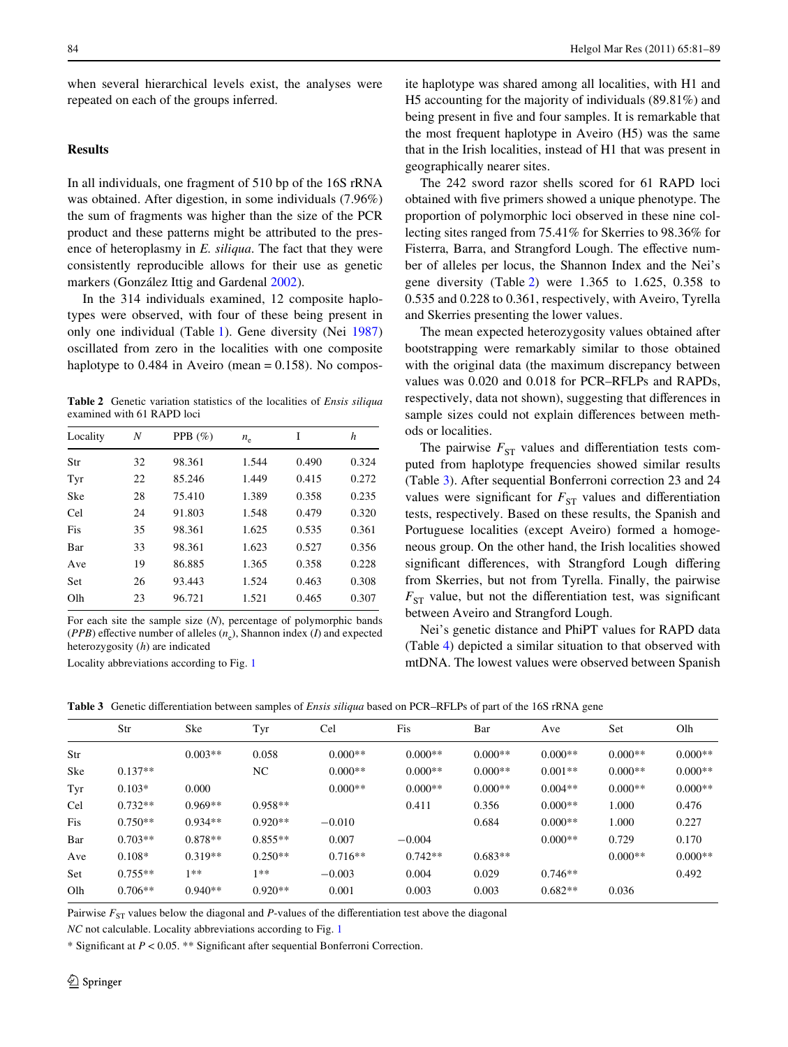when several hierarchical levels exist, the analyses were repeated on each of the groups inferred.

## **Results**

In all individuals, one fragment of 510 bp of the 16S rRNA was obtained. After digestion, in some individuals (7.96%) the sum of fragments was higher than the size of the PCR product and these patterns might be attributed to the presence of heteroplasmy in *E. siliqua*. The fact that they were consistently reproducible allows for their use as genetic markers (González Ittig and Gardenal [2002\)](#page-7-10).

In the 314 individuals examined, 12 composite haplotypes were observed, with four of these being present in only one individual (Table [1\)](#page-2-0). Gene diversity (Nei [1987\)](#page-8-17) oscillated from zero in the localities with one composite haplotype to  $0.484$  in Aveiro (mean =  $0.158$ ). No compos-

<span id="page-3-0"></span>**Table 2** Genetic variation statistics of the localities of *Ensis siliqua* examined with 61 RAPD loci

| Locality   | Ν  | PPB $(\% )$ | $n_e$ | I     | h     |
|------------|----|-------------|-------|-------|-------|
| Str        | 32 | 98.361      | 1.544 | 0.490 | 0.324 |
| Tyr        | 22 | 85.246      | 1.449 | 0.415 | 0.272 |
| Ske        | 28 | 75.410      | 1.389 | 0.358 | 0.235 |
| Cel        | 24 | 91.803      | 1.548 | 0.479 | 0.320 |
| Fis        | 35 | 98.361      | 1.625 | 0.535 | 0.361 |
| Bar        | 33 | 98.361      | 1.623 | 0.527 | 0.356 |
| Ave        | 19 | 86.885      | 1.365 | 0.358 | 0.228 |
| <b>Set</b> | 26 | 93.443      | 1.524 | 0.463 | 0.308 |
| Olh        | 23 | 96.721      | 1.521 | 0.465 | 0.307 |

For each site the sample size (*N*), percentage of polymorphic bands (*PPB*) effective number of alleles  $(n_e)$ , Shannon index (*I*) and expected heterozygosity (*h*) are indicated

Locality abbreviations according to Fig. [1](#page-1-0)

ite haplotype was shared among all localities, with H1 and H5 accounting for the majority of individuals (89.81%) and being present in five and four samples. It is remarkable that the most frequent haplotype in Aveiro (H5) was the same that in the Irish localities, instead of H1 that was present in geographically nearer sites.

The 242 sword razor shells scored for 61 RAPD loci obtained with five primers showed a unique phenotype. The proportion of polymorphic loci observed in these nine collecting sites ranged from 75.41% for Skerries to 98.36% for Fisterra, Barra, and Strangford Lough. The effective number of alleles per locus, the Shannon Index and the Nei's gene diversity (Table [2](#page-3-0)) were 1.365 to 1.625, 0.358 to 0.535 and 0.228 to 0.361, respectively, with Aveiro, Tyrella and Skerries presenting the lower values.

The mean expected heterozygosity values obtained after bootstrapping were remarkably similar to those obtained with the original data (the maximum discrepancy between values was 0.020 and 0.018 for PCR–RFLPs and RAPDs, respectively, data not shown), suggesting that differences in sample sizes could not explain differences between methods or localities.

The pairwise  $F_{ST}$  values and differentiation tests computed from haplotype frequencies showed similar results (Table [3\)](#page-3-1). After sequential Bonferroni correction 23 and 24 values were significant for  $F_{ST}$  values and differentiation tests, respectively. Based on these results, the Spanish and Portuguese localities (except Aveiro) formed a homogeneous group. On the other hand, the Irish localities showed significant differences, with Strangford Lough differing from Skerries, but not from Tyrella. Finally, the pairwise  $F_{ST}$  value, but not the differentiation test, was significant between Aveiro and Strangford Lough.

Nei's genetic distance and PhiPT values for RAPD data (Table [4\)](#page-4-0) depicted a similar situation to that observed with mtDNA. The lowest values were observed between Spanish

| $0.000**$<br>$0.000**$<br>$0.000**$<br>$0.000**$<br>$0.003**$<br>0.058<br>$0.000**$<br>Str             | $0.000**$<br>$0.000**$ |
|--------------------------------------------------------------------------------------------------------|------------------------|
|                                                                                                        |                        |
| Ske<br>$0.137**$<br>NC<br>$0.000**$<br>$0.000**$<br>$0.000**$<br>$0.001**$<br>$0.000**$                |                        |
| Tyr<br>$0.000**$<br>$0.000**$<br>$0.000**$<br>$0.004**$<br>$0.000**$<br>$0.000**$<br>$0.103*$<br>0.000 |                        |
| 1.000<br>Cel<br>$0.732**$<br>$0.969**$<br>$0.958**$<br>$0.000**$<br>0.476<br>0.411<br>0.356            |                        |
| Fis<br>$0.750**$<br>$0.934**$<br>$0.920**$<br>0.684<br>$0.000**$<br>1.000<br>0.227<br>$-0.010$         |                        |
| $0.703**$<br>$0.855**$<br>Bar<br>$0.878**$<br>0.007<br>$0.000**$<br>0.170<br>$-0.004$<br>0.729         |                        |
| $0.319**$<br>$0.250**$<br>$0.716**$<br>$0.742**$<br>$0.683**$<br>$0.000**$<br>$0.108*$<br>Ave          | $0.000**$              |
| $0.755**$<br>$1**$<br>1**<br>0.004<br>0.492<br>Set<br>$-0.003$<br>0.029<br>$0.746**$                   |                        |
| Olh<br>$0.706**$<br>$0.940**$<br>$0.920**$<br>0.003<br>$0.682**$<br>0.001<br>0.003<br>0.036            |                        |

<span id="page-3-1"></span>Table 3 Genetic differentiation between samples of *Ensis siliqua* based on PCR–RFLPs of part of the 16S rRNA gene

Pairwise  $F_{ST}$  values below the diagonal and *P*-values of the differentiation test above the diagonal

*NC* not calculable. Locality abbreviations according to Fig. [1](#page-1-0)

\* Significant at  $P < 0.05$ . \*\* Significant after sequential Bonferroni Correction.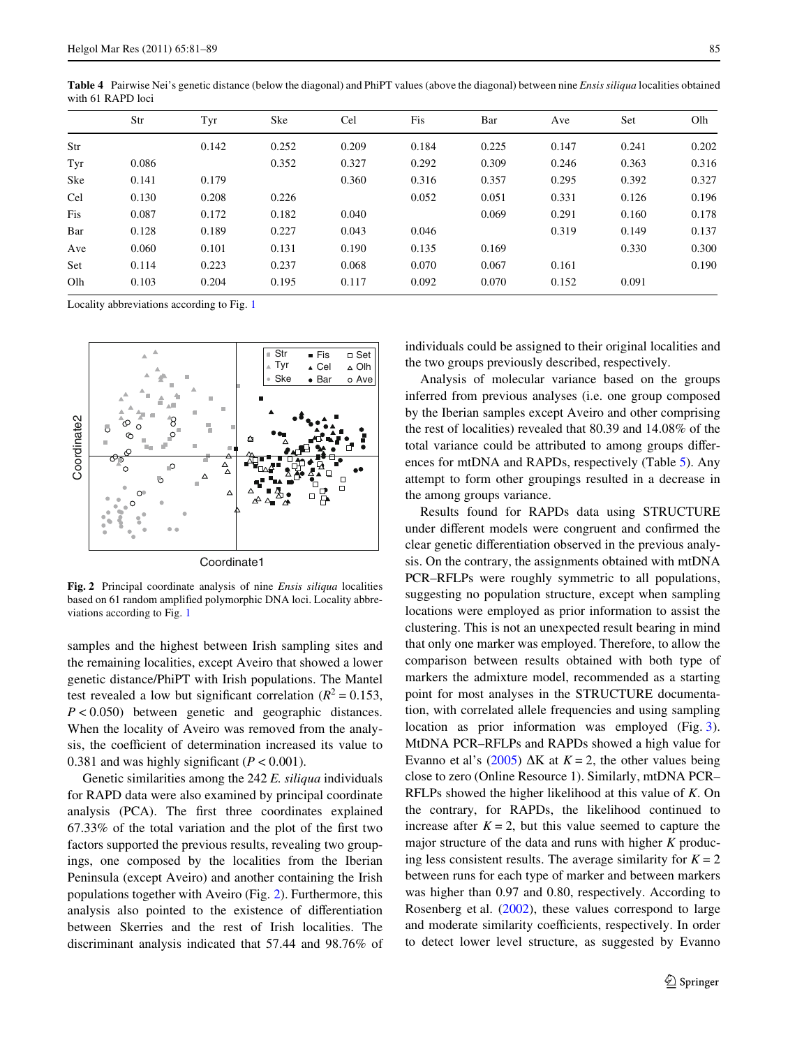|     | Str   | Tyr   | Ske   | Cel   | Fis   | Bar   | Ave   | Set   | Olh   |
|-----|-------|-------|-------|-------|-------|-------|-------|-------|-------|
| Str |       | 0.142 | 0.252 | 0.209 | 0.184 | 0.225 | 0.147 | 0.241 | 0.202 |
| Tyr | 0.086 |       | 0.352 | 0.327 | 0.292 | 0.309 | 0.246 | 0.363 | 0.316 |
| Ske | 0.141 | 0.179 |       | 0.360 | 0.316 | 0.357 | 0.295 | 0.392 | 0.327 |
| Cel | 0.130 | 0.208 | 0.226 |       | 0.052 | 0.051 | 0.331 | 0.126 | 0.196 |
| Fis | 0.087 | 0.172 | 0.182 | 0.040 |       | 0.069 | 0.291 | 0.160 | 0.178 |
| Bar | 0.128 | 0.189 | 0.227 | 0.043 | 0.046 |       | 0.319 | 0.149 | 0.137 |
| Ave | 0.060 | 0.101 | 0.131 | 0.190 | 0.135 | 0.169 |       | 0.330 | 0.300 |
| Set | 0.114 | 0.223 | 0.237 | 0.068 | 0.070 | 0.067 | 0.161 |       | 0.190 |
| Olh | 0.103 | 0.204 | 0.195 | 0.117 | 0.092 | 0.070 | 0.152 | 0.091 |       |
|     |       |       |       |       |       |       |       |       |       |

<span id="page-4-0"></span>**Table 4** Pairwise Nei's genetic distance (below the diagonal) and PhiPT values (above the diagonal) between nine *Ensis siliqua* localities obtained with 61 RAPD loci

Locality abbreviations according to Fig. [1](#page-1-0)



<span id="page-4-1"></span>**Fig. 2** Principal coordinate analysis of nine *Ensis siliqua* localities based on 61 random amplified polymorphic DNA loci. Locality abbreviations according to Fig. [1](#page-1-0)

samples and the highest between Irish sampling sites and the remaining localities, except Aveiro that showed a lower genetic distance/PhiPT with Irish populations. The Mantel test revealed a low but significant correlation ( $R^2 = 0.153$ , *P* < 0.050) between genetic and geographic distances. When the locality of Aveiro was removed from the analysis, the coefficient of determination increased its value to 0.381 and was highly significant  $(P < 0.001)$ .

Genetic similarities among the 242 *E. siliqua* individuals for RAPD data were also examined by principal coordinate analysis (PCA). The first three coordinates explained  $67.33\%$  of the total variation and the plot of the first two factors supported the previous results, revealing two groupings, one composed by the localities from the Iberian Peninsula (except Aveiro) and another containing the Irish populations together with Aveiro (Fig. [2\)](#page-4-1). Furthermore, this analysis also pointed to the existence of differentiation between Skerries and the rest of Irish localities. The discriminant analysis indicated that 57.44 and 98.76% of individuals could be assigned to their original localities and the two groups previously described, respectively.

Analysis of molecular variance based on the groups inferred from previous analyses (i.e. one group composed by the Iberian samples except Aveiro and other comprising the rest of localities) revealed that 80.39 and 14.08% of the total variance could be attributed to among groups differences for mtDNA and RAPDs, respectively (Table [5](#page-5-0)). Any attempt to form other groupings resulted in a decrease in the among groups variance.

Results found for RAPDs data using STRUCTURE under different models were congruent and confirmed the clear genetic differentiation observed in the previous analysis. On the contrary, the assignments obtained with mtDNA PCR–RFLPs were roughly symmetric to all populations, suggesting no population structure, except when sampling locations were employed as prior information to assist the clustering. This is not an unexpected result bearing in mind that only one marker was employed. Therefore, to allow the comparison between results obtained with both type of markers the admixture model, recommended as a starting point for most analyses in the STRUCTURE documentation, with correlated allele frequencies and using sampling location as prior information was employed (Fig. [3](#page-5-1)). MtDNA PCR–RFLPs and RAPDs showed a high value for Evanno et al's ([2005\)](#page-7-8)  $\Delta K$  at  $K = 2$ , the other values being close to zero (Online Resource 1). Similarly, mtDNA PCR– RFLPs showed the higher likelihood at this value of *K*. On the contrary, for RAPDs, the likelihood continued to increase after  $K = 2$ , but this value seemed to capture the major structure of the data and runs with higher *K* producing less consistent results. The average similarity for  $K = 2$ between runs for each type of marker and between markers was higher than 0.97 and 0.80, respectively. According to Rosenberg et al. ([2002\)](#page-8-24), these values correspond to large and moderate similarity coefficients, respectively. In order to detect lower level structure, as suggested by Evanno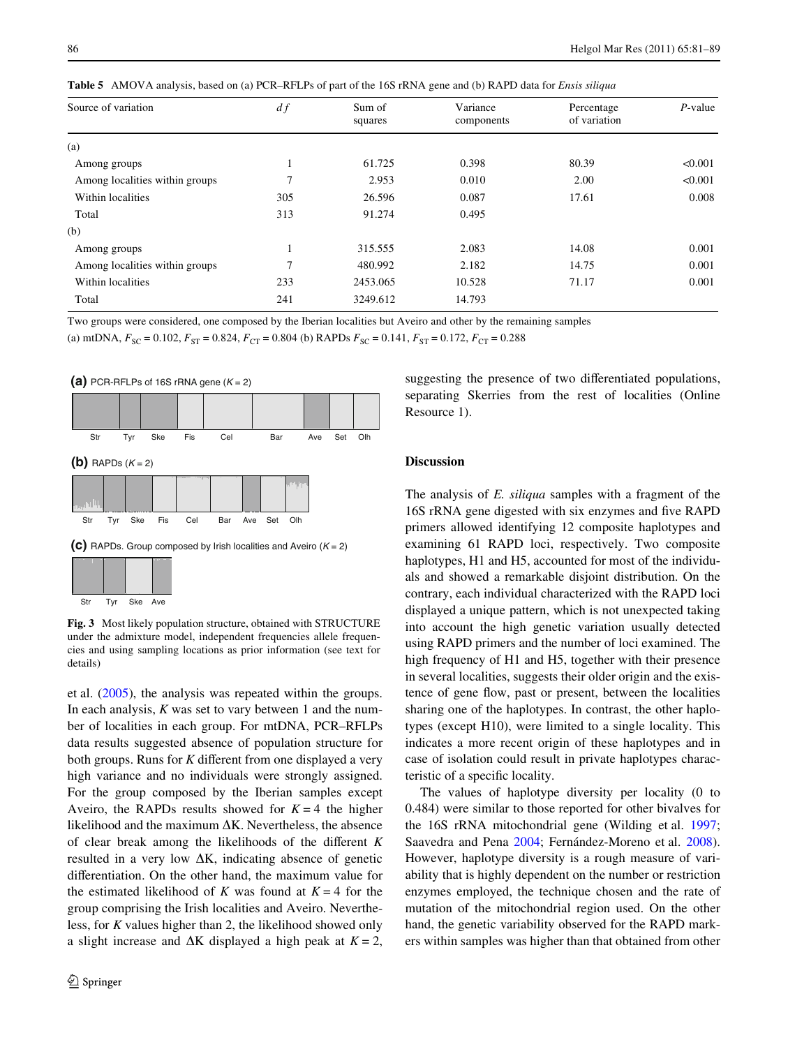| Source of variation            | df            | Sum of<br>squares | Variance<br>components | Percentage<br>of variation | $P$ -value |
|--------------------------------|---------------|-------------------|------------------------|----------------------------|------------|
| (a)                            |               |                   |                        |                            |            |
| Among groups                   |               | 61.725            | 0.398                  | 80.39                      | < 0.001    |
| Among localities within groups | ┑             | 2.953             | 0.010                  | 2.00                       | < 0.001    |
| Within localities              | 305           | 26.596            | 0.087                  | 17.61                      | 0.008      |
| Total                          | 313           | 91.274            | 0.495                  |                            |            |
| (b)                            |               |                   |                        |                            |            |
| Among groups                   |               | 315.555           | 2.083                  | 14.08                      | 0.001      |
| Among localities within groups | $\mathcal{I}$ | 480.992           | 2.182                  | 14.75                      | 0.001      |
| Within localities              | 233           | 2453.065          | 10.528                 | 71.17                      | 0.001      |
| Total                          | 241           | 3249.612          | 14.793                 |                            |            |

<span id="page-5-0"></span>**Table 5** AMOVA analysis, based on (a) PCR–RFLPs of part of the 16S rRNA gene and (b) RAPD data for *Ensis siliqua*

Two groups were considered, one composed by the Iberian localities but Aveiro and other by the remaining samples

(a) mtDNA,  $F_{SC} = 0.102$ ,  $F_{ST} = 0.824$ ,  $F_{CT} = 0.804$  (b) RAPDs  $F_{SC} = 0.141$ ,  $F_{ST} = 0.172$ ,  $F_{CT} = 0.288$ 





<span id="page-5-1"></span>**Fig. 3** Most likely population structure, obtained with STRUCTURE under the admixture model, independent frequencies allele frequencies and using sampling locations as prior information (see text for details)

et al. [\(2005](#page-7-8)), the analysis was repeated within the groups. In each analysis, *K* was set to vary between 1 and the number of localities in each group. For mtDNA, PCR–RFLPs data results suggested absence of population structure for both groups. Runs for  $K$  different from one displayed a very high variance and no individuals were strongly assigned. For the group composed by the Iberian samples except Aveiro, the RAPDs results showed for  $K = 4$  the higher likelihood and the maximum  $\Delta K$ . Nevertheless, the absence of clear break among the likelihoods of the different *K* resulted in a very low  $\Delta K$ , indicating absence of genetic differentiation. On the other hand, the maximum value for the estimated likelihood of *K* was found at  $K = 4$  for the group comprising the Irish localities and Aveiro. Nevertheless, for *K* values higher than 2, the likelihood showed only a slight increase and  $\Delta K$  displayed a high peak at  $K = 2$ , suggesting the presence of two differentiated populations, separating Skerries from the rest of localities (Online Resource 1).

## **Discussion**

The analysis of *E. siliqua* samples with a fragment of the 16S rRNA gene digested with six enzymes and five RAPD primers allowed identifying 12 composite haplotypes and examining 61 RAPD loci, respectively. Two composite haplotypes, H1 and H5, accounted for most of the individuals and showed a remarkable disjoint distribution. On the contrary, each individual characterized with the RAPD loci displayed a unique pattern, which is not unexpected taking into account the high genetic variation usually detected using RAPD primers and the number of loci examined. The high frequency of H1 and H5, together with their presence in several localities, suggests their older origin and the existence of gene flow, past or present, between the localities sharing one of the haplotypes. In contrast, the other haplotypes (except H10), were limited to a single locality. This indicates a more recent origin of these haplotypes and in case of isolation could result in private haplotypes characteristic of a specific locality.

The values of haplotype diversity per locality (0 to 0.484) were similar to those reported for other bivalves for the 16S rRNA mitochondrial gene (Wilding et al. [1997;](#page-8-11) Saavedra and Pena [2004](#page-8-25); Fernández-Moreno et al. [2008](#page-7-11)). However, haplotype diversity is a rough measure of variability that is highly dependent on the number or restriction enzymes employed, the technique chosen and the rate of mutation of the mitochondrial region used. On the other hand, the genetic variability observed for the RAPD markers within samples was higher than that obtained from other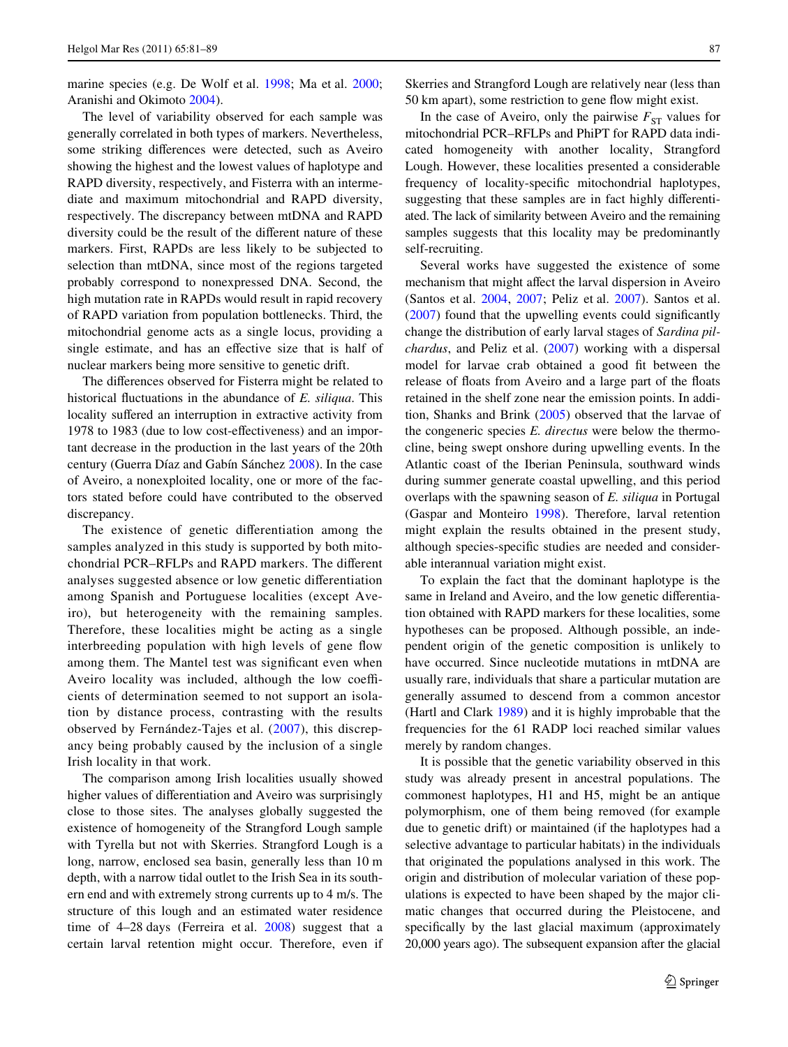marine species (e.g. De Wolf et al. [1998;](#page-7-12) Ma et al. [2000](#page-8-26); Aranishi and Okimoto [2004\)](#page-7-13).

The level of variability observed for each sample was generally correlated in both types of markers. Nevertheless, some striking differences were detected, such as Aveiro showing the highest and the lowest values of haplotype and RAPD diversity, respectively, and Fisterra with an intermediate and maximum mitochondrial and RAPD diversity, respectively. The discrepancy between mtDNA and RAPD diversity could be the result of the different nature of these markers. First, RAPDs are less likely to be subjected to selection than mtDNA, since most of the regions targeted probably correspond to nonexpressed DNA. Second, the high mutation rate in RAPDs would result in rapid recovery of RAPD variation from population bottlenecks. Third, the mitochondrial genome acts as a single locus, providing a single estimate, and has an effective size that is half of nuclear markers being more sensitive to genetic drift.

The differences observed for Fisterra might be related to historical fluctuations in the abundance of *E. siliqua*. This locality suffered an interruption in extractive activity from 1978 to 1983 (due to low cost-effectiveness) and an important decrease in the production in the last years of the 20th century (Guerra Díaz and Gabín Sánchez [2008](#page-8-27)). In the case of Aveiro, a nonexploited locality, one or more of the factors stated before could have contributed to the observed discrepancy.

The existence of genetic differentiation among the samples analyzed in this study is supported by both mitochondrial PCR–RFLPs and RAPD markers. The different analyses suggested absence or low genetic differentiation among Spanish and Portuguese localities (except Aveiro), but heterogeneity with the remaining samples. Therefore, these localities might be acting as a single interbreeding population with high levels of gene flow among them. The Mantel test was significant even when Aveiro locality was included, although the low coefficients of determination seemed to not support an isolation by distance process, contrasting with the results observed by Fernández-Tajes et al. ([2007](#page-7-6)), this discrepancy being probably caused by the inclusion of a single Irish locality in that work.

The comparison among Irish localities usually showed higher values of differentiation and Aveiro was surprisingly close to those sites. The analyses globally suggested the existence of homogeneity of the Strangford Lough sample with Tyrella but not with Skerries. Strangford Lough is a long, narrow, enclosed sea basin, generally less than 10 m depth, with a narrow tidal outlet to the Irish Sea in its southern end and with extremely strong currents up to 4 m/s. The structure of this lough and an estimated water residence time of 4–28 days (Ferreira et al. [2008\)](#page-7-14) suggest that a certain larval retention might occur. Therefore, even if Skerries and Strangford Lough are relatively near (less than 50 km apart), some restriction to gene flow might exist.

In the case of Aveiro, only the pairwise  $F_{ST}$  values for mitochondrial PCR–RFLPs and PhiPT for RAPD data indicated homogeneity with another locality, Strangford Lough. However, these localities presented a considerable frequency of locality-specific mitochondrial haplotypes, suggesting that these samples are in fact highly differentiated. The lack of similarity between Aveiro and the remaining samples suggests that this locality may be predominantly self-recruiting.

Several works have suggested the existence of some mechanism that might affect the larval dispersion in Aveiro (Santos et al. [2004,](#page-8-28) [2007](#page-8-29); Peliz et al. [2007](#page-8-30)). Santos et al.  $(2007)$  found that the upwelling events could significantly change the distribution of early larval stages of *Sardina pilchardus*, and Peliz et al. [\(2007\)](#page-8-30) working with a dispersal model for larvae crab obtained a good fit between the release of floats from Aveiro and a large part of the floats retained in the shelf zone near the emission points. In addition, Shanks and Brink ([2005\)](#page-8-31) observed that the larvae of the congeneric species *E. directus* were below the thermocline, being swept onshore during upwelling events. In the Atlantic coast of the Iberian Peninsula, southward winds during summer generate coastal upwelling, and this period overlaps with the spawning season of *E. siliqua* in Portugal (Gaspar and Monteiro [1998\)](#page-7-15). Therefore, larval retention might explain the results obtained in the present study, although species-specific studies are needed and considerable interannual variation might exist.

To explain the fact that the dominant haplotype is the same in Ireland and Aveiro, and the low genetic differentiation obtained with RAPD markers for these localities, some hypotheses can be proposed. Although possible, an independent origin of the genetic composition is unlikely to have occurred. Since nucleotide mutations in mtDNA are usually rare, individuals that share a particular mutation are generally assumed to descend from a common ancestor (Hartl and Clark [1989\)](#page-8-32) and it is highly improbable that the frequencies for the 61 RADP loci reached similar values merely by random changes.

It is possible that the genetic variability observed in this study was already present in ancestral populations. The commonest haplotypes, H1 and H5, might be an antique polymorphism, one of them being removed (for example due to genetic drift) or maintained (if the haplotypes had a selective advantage to particular habitats) in the individuals that originated the populations analysed in this work. The origin and distribution of molecular variation of these populations is expected to have been shaped by the major climatic changes that occurred during the Pleistocene, and specifically by the last glacial maximum (approximately 20,000 years ago). The subsequent expansion after the glacial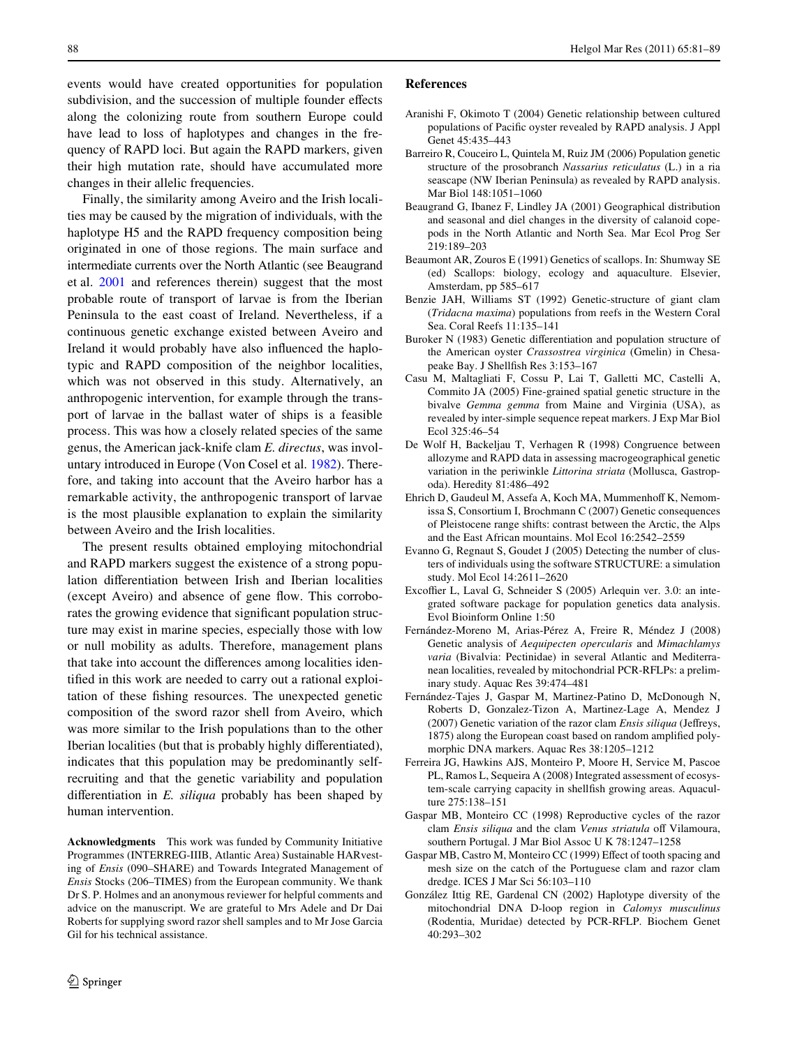events would have created opportunities for population subdivision, and the succession of multiple founder effects along the colonizing route from southern Europe could have lead to loss of haplotypes and changes in the frequency of RAPD loci. But again the RAPD markers, given their high mutation rate, should have accumulated more changes in their allelic frequencies.

Finally, the similarity among Aveiro and the Irish localities may be caused by the migration of individuals, with the haplotype H5 and the RAPD frequency composition being originated in one of those regions. The main surface and intermediate currents over the North Atlantic (see Beaugrand et al. [2001](#page-7-16) and references therein) suggest that the most probable route of transport of larvae is from the Iberian Peninsula to the east coast of Ireland. Nevertheless, if a continuous genetic exchange existed between Aveiro and Ireland it would probably have also influenced the haplotypic and RAPD composition of the neighbor localities, which was not observed in this study. Alternatively, an anthropogenic intervention, for example through the transport of larvae in the ballast water of ships is a feasible process. This was how a closely related species of the same genus, the American jack-knife clam *E. directus*, was involuntary introduced in Europe (Von Cosel et al. [1982](#page-8-33)). Therefore, and taking into account that the Aveiro harbor has a remarkable activity, the anthropogenic transport of larvae is the most plausible explanation to explain the similarity between Aveiro and the Irish localities.

The present results obtained employing mitochondrial and RAPD markers suggest the existence of a strong population differentiation between Irish and Iberian localities (except Aveiro) and absence of gene flow. This corroborates the growing evidence that significant population structure may exist in marine species, especially those with low or null mobility as adults. Therefore, management plans that take into account the differences among localities identified in this work are needed to carry out a rational exploitation of these fishing resources. The unexpected genetic composition of the sword razor shell from Aveiro, which was more similar to the Irish populations than to the other Iberian localities (but that is probably highly differentiated), indicates that this population may be predominantly selfrecruiting and that the genetic variability and population differentiation in *E. siliqua* probably has been shaped by human intervention.

**Acknowledgments** This work was funded by Community Initiative Programmes (INTERREG-IIIB, Atlantic Area) Sustainable HARvesting of *Ensis* (090–SHARE) and Towards Integrated Management of *Ensis* Stocks (206–TIMES) from the European community. We thank Dr S. P. Holmes and an anonymous reviewer for helpful comments and advice on the manuscript. We are grateful to Mrs Adele and Dr Dai Roberts for supplying sword razor shell samples and to Mr Jose Garcia Gil for his technical assistance.

#### **References**

- <span id="page-7-13"></span>Aranishi F, Okimoto T (2004) Genetic relationship between cultured populations of Pacific oyster revealed by RAPD analysis. J Appl Genet 45:435–443
- <span id="page-7-5"></span>Barreiro R, Couceiro L, Quintela M, Ruiz JM (2006) Population genetic structure of the prosobranch *Nassarius reticulatus* (L.) in a ria seascape (NW Iberian Peninsula) as revealed by RAPD analysis. Mar Biol 148:1051–1060
- <span id="page-7-16"></span>Beaugrand G, Ibanez F, Lindley JA (2001) Geographical distribution and seasonal and diel changes in the diversity of calanoid copepods in the North Atlantic and North Sea. Mar Ecol Prog Ser 219:189–203
- <span id="page-7-1"></span>Beaumont AR, Zouros E (1991) Genetics of scallops. In: Shumway SE (ed) Scallops: biology, ecology and aquaculture. Elsevier, Amsterdam, pp 585–617
- <span id="page-7-0"></span>Benzie JAH, Williams ST (1992) Genetic-structure of giant clam (*Tridacna maxima*) populations from reefs in the Western Coral Sea. Coral Reefs 11:135–141
- <span id="page-7-2"></span>Buroker N (1983) Genetic differentiation and population structure of the American oyster *Crassostrea virginica* (Gmelin) in Chesapeake Bay. J Shellfish Res 3:153-167
- <span id="page-7-4"></span>Casu M, Maltagliati F, Cossu P, Lai T, Galletti MC, Castelli A, Commito JA (2005) Fine-grained spatial genetic structure in the bivalve *Gemma gemma* from Maine and Virginia (USA), as revealed by inter-simple sequence repeat markers. J Exp Mar Biol Ecol 325:46–54
- <span id="page-7-12"></span>De Wolf H, Backeljau T, Verhagen R (1998) Congruence between allozyme and RAPD data in assessing macrogeographical genetic variation in the periwinkle *Littorina striata* (Mollusca, Gastropoda). Heredity 81:486–492
- <span id="page-7-9"></span>Ehrich D, Gaudeul M, Assefa A, Koch MA, Mummenhoff K, Nemomissa S, Consortium I, Brochmann C (2007) Genetic consequences of Pleistocene range shifts: contrast between the Arctic, the Alps and the East African mountains. Mol Ecol 16:2542–2559
- <span id="page-7-8"></span>Evanno G, Regnaut S, Goudet J (2005) Detecting the number of clusters of individuals using the software STRUCTURE: a simulation study. Mol Ecol 14:2611–2620
- <span id="page-7-7"></span>Excoffier L, Laval G, Schneider S (2005) Arlequin ver. 3.0: an integrated software package for population genetics data analysis. Evol Bioinform Online 1:50
- <span id="page-7-11"></span>Fernández-Moreno M, Arias-Pérez A, Freire R, Méndez J (2008) Genetic analysis of *Aequipecten opercularis* and *Mimachlamys varia* (Bivalvia: Pectinidae) in several Atlantic and Mediterranean localities, revealed by mitochondrial PCR-RFLPs: a preliminary study. Aquac Res 39:474–481
- <span id="page-7-6"></span>Fernández-Tajes J, Gaspar M, Martinez-Patino D, McDonough N, Roberts D, Gonzalez-Tizon A, Martinez-Lage A, Mendez J (2007) Genetic variation of the razor clam *Ensis siliqua* (Jeffreys, 1875) along the European coast based on random amplified polymorphic DNA markers. Aquac Res 38:1205–1212
- <span id="page-7-14"></span>Ferreira JG, Hawkins AJS, Monteiro P, Moore H, Service M, Pascoe PL, Ramos L, Sequeira A (2008) Integrated assessment of ecosystem-scale carrying capacity in shellfish growing areas. Aquaculture 275:138–151
- <span id="page-7-15"></span>Gaspar MB, Monteiro CC (1998) Reproductive cycles of the razor clam *Ensis siliqua* and the clam *Venus striatula* off Vilamoura, southern Portugal. J Mar Biol Assoc U K 78:1247–1258
- <span id="page-7-3"></span>Gaspar MB, Castro M, Monteiro CC (1999) Effect of tooth spacing and mesh size on the catch of the Portuguese clam and razor clam dredge. ICES J Mar Sci 56:103–110
- <span id="page-7-10"></span>González Ittig RE, Gardenal CN (2002) Haplotype diversity of the mitochondrial DNA D-loop region in *Calomys musculinus* (Rodentia, Muridae) detected by PCR-RFLP. Biochem Genet 40:293–302